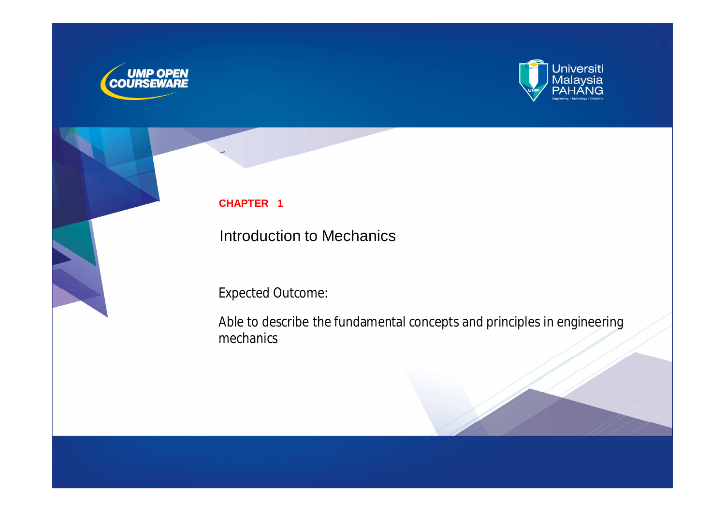



#### **CHAPTER 1**

Introduction to Mechanics

Expected Outcome:

Able to describe the fundamental concepts and principles in engineering mechanics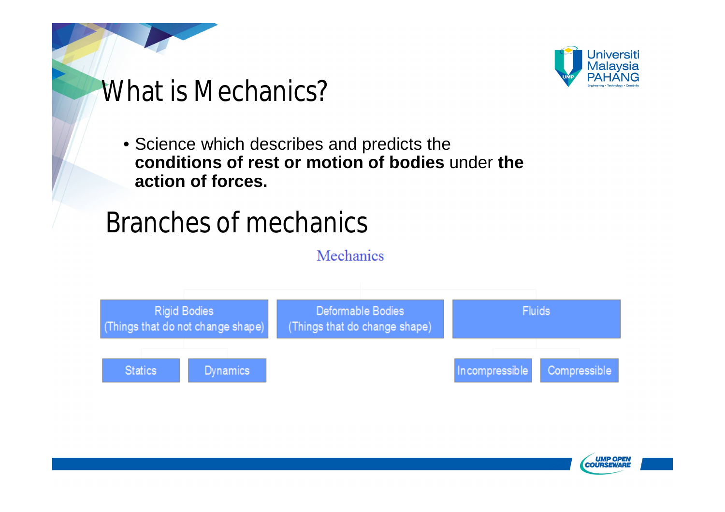

# What is Mechanics?

• Science which describes and predicts the **conditions of rest or motion of bodies** under **the action of forces.**

# Branches of mechanics

Mechanics



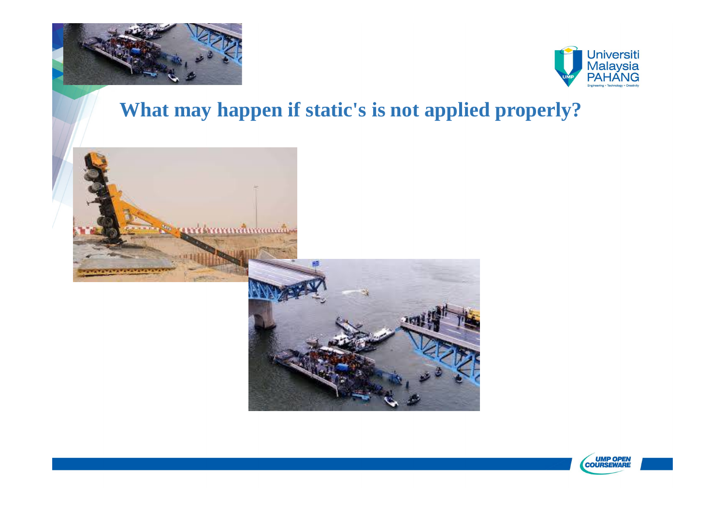



### **What may happen if static's is not applied properly?**



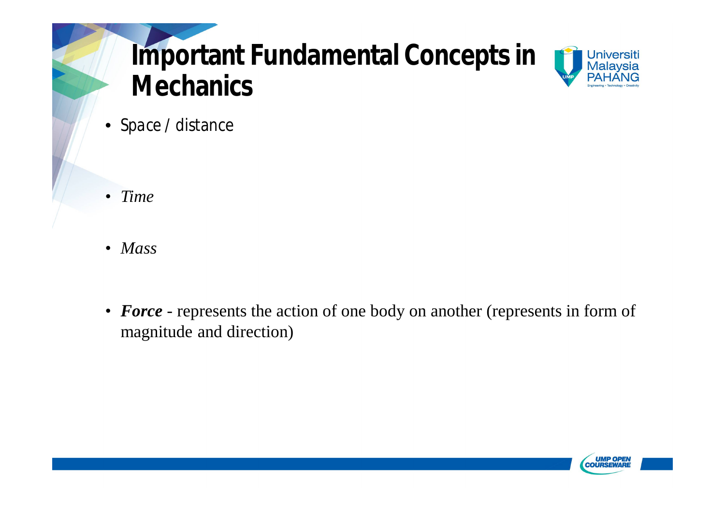# **Important Fundamental Concepts in Mechanics**



• *Space* / distance

- *Time*
- *Mass*
- **Force** represents the action of one body on another (represents in form of magnitude and direction)

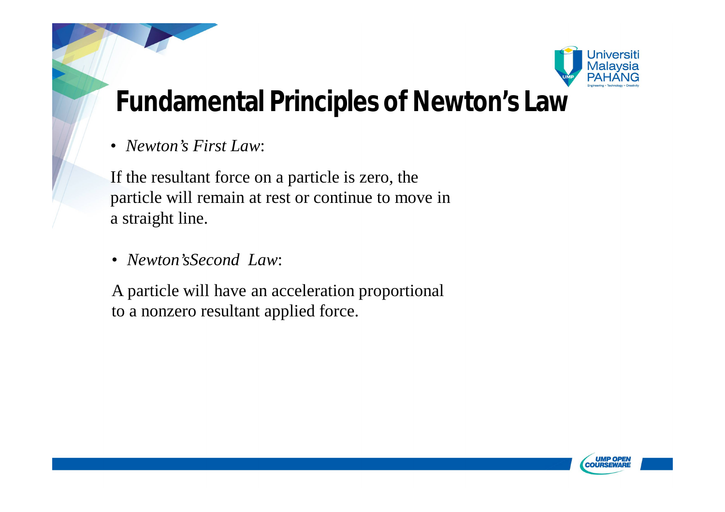

## **Fundamental Principles of Newton's Law**

• *Newton's First Law*:

If the resultant force on a particle is zero, the particle will remain at rest or continue to move in a straight line.

• *Newton'sSecond Law*:

A particle will have an acceleration proportional to a nonzero resultant applied force.

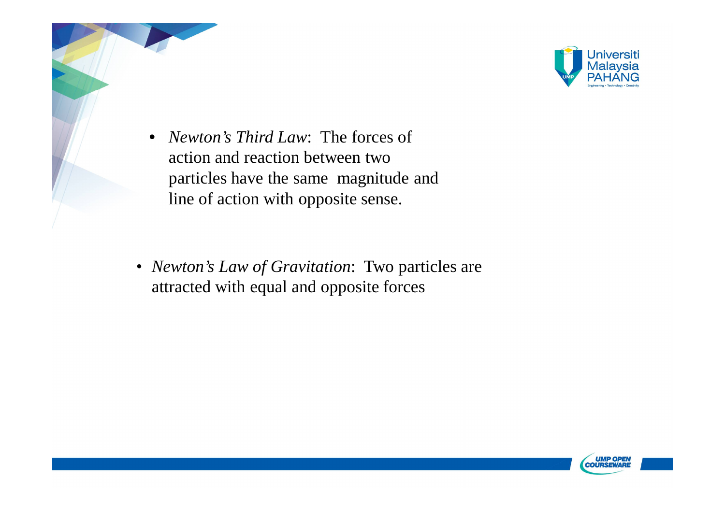

- *Newton's Third Law*: The forces of action and reaction between two particles have the same magnitude and line of action with opposite sense.
- *Newton's Law of Gravitation*: Two particles are attracted with equal and opposite forces,